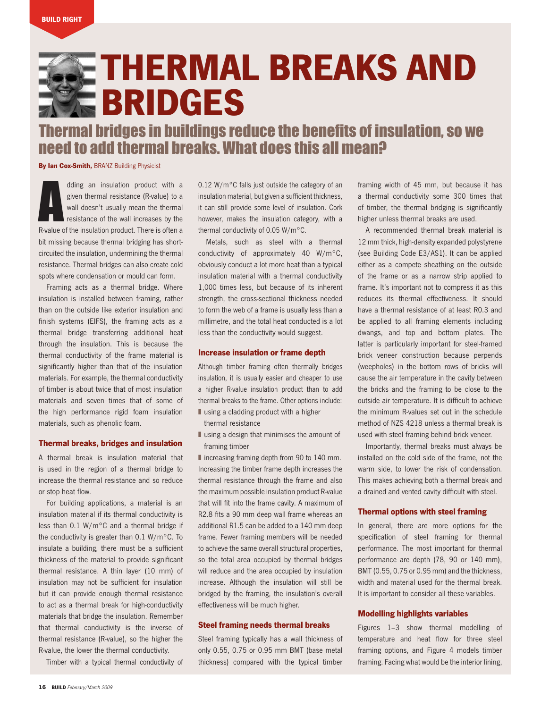# Thermal breaks and bridges

## Thermal bridges in buildings reduce the benefits of insulation, so we need to add thermal breaks. What does this all mean?

**By Ian Cox-Smith, BRANZ Building Physicist** 

dding an insulation product with a<br>given thermal resistance (R-value) to a<br>wall doesn't usually mean the thermal<br>resistance of the wall increases by the<br>R-value of the insulation product. There is often a dding an insulation product with a given thermal resistance (R-value) to a wall doesn't usually mean the thermal resistance of the wall increases by the bit missing because thermal bridging has shortcircuited the insulation, undermining the thermal resistance. Thermal bridges can also create cold spots where condensation or mould can form.

Framing acts as a thermal bridge. Where insulation is installed between framing, rather than on the outside like exterior insulation and finish systems (EIFS), the framing acts as a thermal bridge transferring additional heat through the insulation. This is because the thermal conductivity of the frame material is significantly higher than that of the insulation materials. For example, the thermal conductivity of timber is about twice that of most insulation materials and seven times that of some of the high performance rigid foam insulation materials, such as phenolic foam.

### Thermal breaks, bridges and insulation

A thermal break is insulation material that is used in the region of a thermal bridge to increase the thermal resistance and so reduce or stop heat flow.

For building applications, a material is an insulation material if its thermal conductivity is less than 0.1 W/m°C and a thermal bridge if the conductivity is greater than 0.1 W/m°C. To insulate a building, there must be a sufficient thickness of the material to provide significant thermal resistance. A thin layer (10 mm) of insulation may not be sufficient for insulation but it can provide enough thermal resistance to act as a thermal break for high-conductivity materials that bridge the insulation. Remember that thermal conductivity is the inverse of thermal resistance (R-value), so the higher the R-value, the lower the thermal conductivity.

Timber with a typical thermal conductivity of

0.12 W/m°C falls just outside the category of an insulation material, but given a sufficient thickness, it can still provide some level of insulation. Cork however, makes the insulation category, with a thermal conductivity of 0.05 W/m°C.

Metals, such as steel with a thermal conductivity of approximately 40 W/m°C, obviously conduct a lot more heat than a typical insulation material with a thermal conductivity 1,000 times less, but because of its inherent strength, the cross-sectional thickness needed to form the web of a frame is usually less than a millimetre, and the total heat conducted is a lot less than the conductivity would suggest.

#### Increase insulation or frame depth

Although timber framing often thermally bridges insulation, it is usually easier and cheaper to use a higher R-value insulation product than to add thermal breaks to the frame. Other options include: ■ using a cladding product with a higher

- thermal resistance
- using a design that minimises the amount of framing timber

■ increasing framing depth from 90 to 140 mm. Increasing the timber frame depth increases the thermal resistance through the frame and also the maximum possible insulation product R-value that will fit into the frame cavity. A maximum of R2.8 fits a 90 mm deep wall frame whereas an additional R1.5 can be added to a 140 mm deep frame. Fewer framing members will be needed to achieve the same overall structural properties, so the total area occupied by thermal bridges will reduce and the area occupied by insulation increase. Although the insulation will still be bridged by the framing, the insulation's overall effectiveness will be much higher.

#### Steel framing needs thermal breaks

Steel framing typically has a wall thickness of only 0.55, 0.75 or 0.95 mm BMT (base metal thickness) compared with the typical timber

framing width of 45 mm, but because it has a thermal conductivity some 300 times that of timber, the thermal bridging is significantly higher unless thermal breaks are used.

A recommended thermal break material is 12 mm thick, high-density expanded polystyrene (see Building Code E3/AS1). It can be applied either as a compete sheathing on the outside of the frame or as a narrow strip applied to frame. It's important not to compress it as this reduces its thermal effectiveness. It should have a thermal resistance of at least R0.3 and be applied to all framing elements including dwangs, and top and bottom plates. The latter is particularly important for steel-framed brick veneer construction because perpends (weepholes) in the bottom rows of bricks will cause the air temperature in the cavity between the bricks and the framing to be close to the outside air temperature. It is difficult to achieve the minimum R-values set out in the schedule method of NZS 4218 unless a thermal break is used with steel framing behind brick veneer.

Importantly, thermal breaks must always be installed on the cold side of the frame, not the warm side, to lower the risk of condensation. This makes achieving both a thermal break and a drained and vented cavity difficult with steel.

#### Thermal options with steel framing

In general, there are more options for the specification of steel framing for thermal performance. The most important for thermal performance are depth (78, 90 or 140 mm), BMT (0.55, 0.75 or 0.95 mm) and the thickness, width and material used for the thermal break. It is important to consider all these variables.

#### Modelling highlights variables

Figures 1–3 show thermal modelling of temperature and heat flow for three steel framing options, and Figure 4 models timber framing. Facing what would be the interior lining,